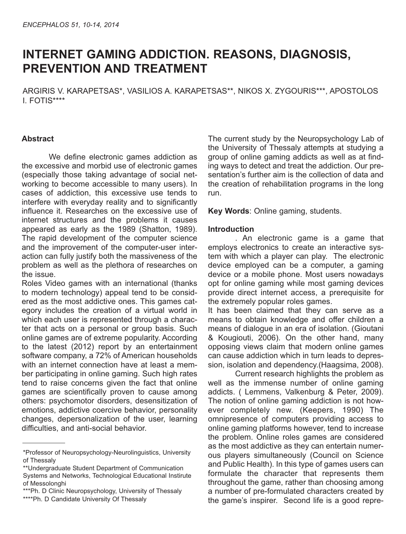# **INTERNET GAMING ADDICTION. REASONS, DIAGNOSIS, PREVENTION AND TREATMENT**

ARGIRIS V. KARAPETSAS\*, VASILIOS A. KARAPETSAS\*\*, NIKOS X. ZYGOURIS\*\*\*, APOSTOLOS I. FOTIS\*\*\*\*

## **Abstract**

We define electronic games addiction as the excessive and morbid use of electronic games (especially those taking advantage of social networking to become accessible to many users). In cases of addiction, this excessive use tends to interfere with everyday reality and to significantly influence it. Researches on the excessive use of internet structures and the problems it causes appeared as early as the 1989 (Shatton, 1989). The rapid development of the computer science and the improvement of the computer-user interaction can fully justify both the massiveness of the problem as well as the plethora of researches on the issue.

Roles Video games with an international (thanks to modern technology) appeal tend to be considered as the most addictive ones. This games category includes the creation of a virtual world in which each user is represented through a character that acts on a personal or group basis. Such online games are of extreme popularity. According to the latest (2012) report by an entertainment software company, a 72% of American households with an internet connection have at least a member participating in online gaming. Such high rates tend to raise concerns given the fact that online games are scientifically proven to cause among others: psychomotor disorders, desensitization of emotions, addictive coercive behavior, personality changes, depersonalization of the user, learning difficulties, and anti-social behavior.

The current study by the Neuropsychology Lab of the University of Thessaly attempts at studying a group of online gaming addicts as well as at finding ways to detect and treat the addiction. Our presentation's further aim is the collection of data and the creation of rehabilitation programs in the long run.

**Key Words**: Online gaming, students.

### **Introduction**

. An electronic game is a game that employs electronics to create an interactive system with which a player can play. The electronic device employed can be a computer, a gaming device or a mobile phone. Most users nowadays opt for online gaming while most gaming devices provide direct internet access, a prerequisite for the extremely popular roles games.

It has been claimed that they can serve as a means to obtain knowledge and offer children a means of dialogue in an era of isolation. (Gioutani & Kougiouti, 2006). On the other hand, many opposing views claim that modern online games can cause addiction which in turn leads to depression, isolation and dependency.(Haagsima, 2008).

Current research highlights the problem as well as the immense number of online gaming addicts. ( Lemmens, Valkenburg & Peter, 2009). The notion of online gaming addiction is not however completely new. (Keepers, 1990) The omnipresence of computers providing access to online gaming platforms however, tend to increase the problem. Online roles games are considered as the most addictive as they can entertain numerous players simultaneously (Council on Science and Public Health). In this type of games users can formulate the character that represents them throughout the game, rather than choosing among a number of pre-formulated characters created by the game's inspirer. Second life is a good repre-

<sup>\*</sup>Professor of Neuropsychology-Neurolinguistics, University of Thessaly

<sup>\*\*</sup>Undergraduate Student Department of Communication Systems and Networks, Technological Educational Instirute of Messolonghi

<sup>\*\*\*</sup>Ph. D Clinic Neuropsychology, University of Thessaly \*\*\*\*Ph. D Candidate University Of Thessaly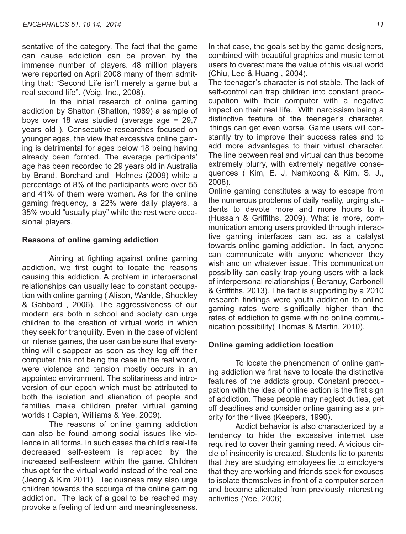sentative of the category. The fact that the game can cause addiction can be proven by the immense number of players. 48 million players were reported on April 2008 many of them admitting that: "Second Life isn't merely a game but a real second life". (Voig, Inc., 2008).

In the initial research of online gaming addiction by Shatton (Shatton, 1989) a sample of boys over 18 was studied (average age = 29,7 years old ). Consecutive researches focused on younger ages, the view that excessive online gaming is detrimental for ages below 18 being having already been formed. The average participants' age has been recorded to 29 years old in Australia by Brand, Borchard and Holmes (2009) while a percentage of 8% of the participants were over 55 and 41% of them were women. As for the online gaming frequency, a 22% were daily players, a 35% would "usually play" while the rest were occasional players.

#### **Reasons of online gaming addiction**

Aiming at fighting against online gaming addiction, we first ought to locate the reasons causing this addiction. A problem in interpersonal relationships can usually lead to constant occupation with online gaming ( Alison, Wahlde, Shockley & Gabbard , 2006). The aggressiveness of our modern era both n school and society can urge children to the creation of virtual world in which they seek for tranquility. Even in the case of violent or intense games, the user can be sure that everything will disappear as soon as they log off their computer, this not being the case in the real world, were violence and tension mostly occurs in an appointed environment. The solitariness and introversion of our epoch which must be attributed to both the isolation and alienation of people and families make children prefer virtual gaming worlds ( Caplan, Williams & Yee, 2009).

The reasons of online gaming addiction can also be found among social issues like violence in all forms. In such cases the child's real-life decreased self-esteem is replaced by the increased self-esteem within the game. Children thus opt for the virtual world instead of the real one (Jeong & Kim 2011). Tediousness may also urge children towards the scourge of the online gaming addiction. The lack of a goal to be reached may provoke a feeling of tedium and meaninglessness.

In that case, the goals set by the game designers, combined with beautiful graphics and music tempt users to overestimate the value of this visual world (Chiu, Lee & Huang , 2004).

The teenager's character is not stable. The lack of self-control can trap children into constant preoccupation with their computer with a negative impact on their real life. With narcissism being a distinctive feature of the teenager's character, things can get even worse. Game users will constantly try to improve their success rates and to add more advantages to their virtual character. The line between real and virtual can thus become extremely blurry, with extremely negative consequences ( Kim, E. J, Namkoong & Kim, S. J., 2008).

Online gaming constitutes a way to escape from the numerous problems of daily reality, urging students to devote more and more hours to it (Hussain & Griffiths, 2009). What is more, communication among users provided through interactive gaming interfaces can act as a catalyst towards online gaming addiction. In fact, anyone can communicate with anyone whenever they wish and on whatever issue. This communication possibility can easily trap young users with a lack of interpersonal relationships ( Beranuy, Carbonell & Griffiths, 2013). The fact is supporting by a 2010 research findings were youth addiction to online gaming rates were significally higher than the rates of addiction to game with no online communication possibility( Thomas & Martin, 2010).

#### **Online gaming addiction location**

To locate the phenomenon of online gaming addiction we first have to locate the distinctive features of the addicts group. Constant preoccupation with the idea of online action is the first sign of addiction. These people may neglect duties, get off deadlines and consider online gaming as a priority for their lives (Keepers, 1990).

Addict behavior is also characterized by a tendency to hide the excessive internet use required to cover their gaming need. A vicious circle of insincerity is created. Students lie to parents that they are studying employees lie to employers that they are working and friends seek for excuses to isolate themselves in front of a computer screen and become alienated from previously interesting activities (Yee, 2006).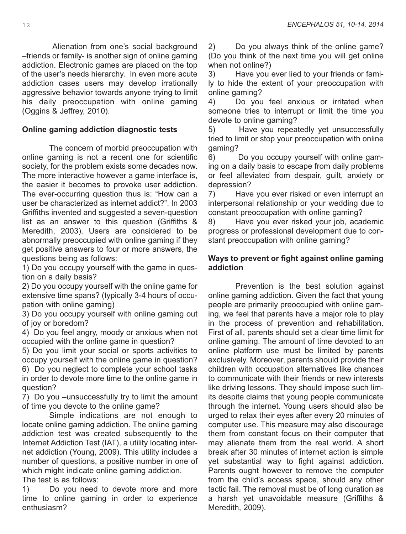Alienation from one's social background –friends or family- is another sign of online gaming addiction. Electronic games are placed on the top of the user's needs hierarchy. In even more acute addiction cases users may develop irrationally aggressive behavior towards anyone trying to limit his daily preoccupation with online gaming (Oggins & Jeffrey, 2010).

## **Online gaming addiction diagnostic tests**

The concern of morbid preoccupation with online gaming is not a recent one for scientific society, for the problem exists some decades now. The more interactive however a game interface is, the easier it becomes to provoke user addiction. The ever-occurring question thus is: "How can a user be characterized as internet addict?". In 2003 Griffiths invented and suggested a seven-question list as an answer to this question (Griffiths & Meredith, 2003). Users are considered to be abnormally preoccupied with online gaming if they get positive answers to four or more answers, the questions being as follows:

1) Do you occupy yourself with the game in question on a daily basis?

2) Do you occupy yourself with the online game for extensive time spans? (typically 3-4 hours of occupation with online gaming)

3) Do you occupy yourself with online gaming out of joy or boredom?

4) Do you feel angry, moody or anxious when not occupied with the online game in question?

5) Do you limit your social or sports activities to occupy yourself with the online game in question?

6) Do you neglect to complete your school tasks in order to devote more time to the online game in question?

7) Do you –unsuccessfully try to limit the amount of time you devote to the online game?

Simple indications are not enough to locate online gaming addiction. The online gaming addiction test was created subsequently to the Internet Addiction Test (IAT), a utility locating internet addiction (Young, 2009). This utility includes a number of questions, a positive number in one of which might indicate online gaming addiction. The test is as follows:

1) Do you need to devote more and more time to online gaming in order to experience enthusiasm?

2) Do you always think of the online game? (Do you think of the next time you will get online when not online?)

3) Have you ever lied to your friends or family to hide the extent of your preoccupation with online gaming?

4) Do you feel anxious or irritated when someone tries to interrupt or limit the time you devote to online gaming?

5) Have you repeatedly yet unsuccessfully tried to limit or stop your preoccupation with online gaming?

6) Do you occupy yourself with online gaming on a daily basis to escape from daily problems or feel alleviated from despair, guilt, anxiety or depression?

7) Have you ever risked or even interrupt an interpersonal relationship or your wedding due to constant preoccupation with online gaming?

8) Have you ever risked your job, academic progress or professional development due to constant preoccupation with online gaming?

## **Ways to prevent or fight against online gaming addiction**

Prevention is the best solution against online gaming addiction. Given the fact that young people are primarily preoccupied with online gaming, we feel that parents have a major role to play in the process of prevention and rehabilitation. First of all, parents should set a clear time limit for online gaming. The amount of time devoted to an online platform use must be limited by parents exclusively. Moreover, parents should provide their children with occupation alternatives like chances to communicate with their friends or new interests like driving lessons. They should impose such limits despite claims that young people communicate through the internet. Young users should also be urged to relax their eyes after every 20 minutes of computer use. This measure may also discourage them from constant focus on their computer that may alienate them from the real world. A short break after 30 minutes of internet action is simple yet substantial way to fight against addiction. Parents ought however to remove the computer from the child's access space, should any other tactic fail. The removal must be of long duration as a harsh yet unavoidable measure (Griffiths & Meredith, 2009).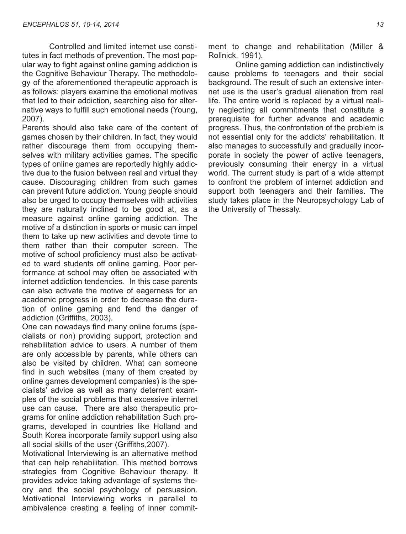Controlled and limited internet use constitutes in fact methods of prevention. The most popular way to fight against online gaming addiction is the Cognitive Behaviour Therapy. The methodology of the aforementioned therapeutic approach is as follows: players examine the emotional motives that led to their addiction, searching also for alternative ways to fulfill such emotional needs (Young, 2007).

Parents should also take care of the content of games chosen by their children. In fact, they would rather discourage them from occupying themselves with military activities games. The specific types of online games are reportedly highly addictive due to the fusion between real and virtual they cause. Discouraging children from such games can prevent future addiction. Young people should also be urged to occupy themselves with activities they are naturally inclined to be good at, as a measure against online gaming addiction. The motive of a distinction in sports or music can impel them to take up new activities and devote time to them rather than their computer screen. The motive of school proficiency must also be activated to ward students off online gaming. Poor performance at school may often be associated with internet addiction tendencies. In this case parents can also activate the motive of eagerness for an academic progress in order to decrease the duration of online gaming and fend the danger of addiction (Griffiths, 2003).

One can nowadays find many online forums (specialists or non) providing support, protection and rehabilitation advice to users. A number of them are only accessible by parents, while others can also be visited by children. What can someone find in such websites (many of them created by online games development companies) is the specialists' advice as well as many deterrent examples of the social problems that excessive internet use can cause. There are also therapeutic programs for online addiction rehabilitation Such programs, developed in countries like Holland and South Korea incorporate family support using also all social skills of the user (Griffiths,2007).

Motivational Interviewing is an alternative method that can help rehabilitation. This method borrows strategies from Cognitive Behaviour therapy. It provides advice taking advantage of systems theory and the social psychology of persuasion. Motivational Interviewing works in parallel to ambivalence creating a feeling of inner commitment to change and rehabilitation (Miller & Rollnick, 1991).

Online gaming addiction can indistinctively cause problems to teenagers and their social background. The result of such an extensive internet use is the user's gradual alienation from real life. The entire world is replaced by a virtual reality neglecting all commitments that constitute a prerequisite for further advance and academic progress. Thus, the confrontation of the problem is not essential only for the addicts' rehabilitation. It also manages to successfully and gradually incorporate in society the power of active teenagers, previously consuming their energy in a virtual world. The current study is part of a wide attempt to confront the problem of internet addiction and support both teenagers and their families. The study takes place in the Neuropsychology Lab of the University of Thessaly.